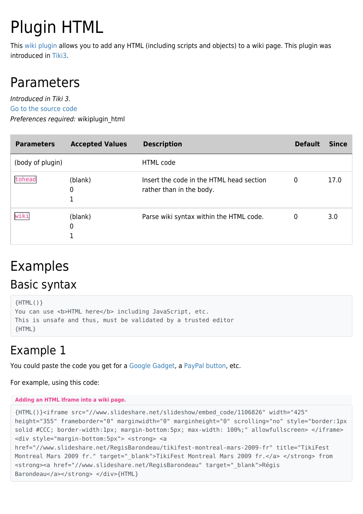# Plugin HTML

This [wiki plugin](https://doc.tiki.org/wiki%20plugin) allows you to add any HTML (including scripts and objects) to a wiki page. This plugin was introduced in [Tiki3](https://doc.tiki.org/Tiki3).

## Parameters

Introduced in Tiki 3. [Go to the source code](https://gitlab.com/tikiwiki/tiki/-/blob/master/lib/wiki-plugins/wikiplugin_html.php) Preferences required: wikiplugin\_html

| <b>Parameters</b> | <b>Accepted Values</b> | <b>Description</b>                                                   | <b>Default</b> | <b>Since</b> |
|-------------------|------------------------|----------------------------------------------------------------------|----------------|--------------|
| (body of plugin)  |                        | <b>HTML</b> code                                                     |                |              |
| tohead            | (blank)<br>0           | Insert the code in the HTML head section<br>rather than in the body. | 0              | 17.0         |
| wiki              | (blank)<br>0           | Parse wiki syntax within the HTML code.                              | 0              | 3.0          |

# Examples

### Basic syntax

```
{HTML()}You can use <b>HTML here</b> including JavaScript, etc.
This is unsafe and thus, must be validated by a trusted editor
{HTML}
```
### Example 1

You could paste the code you get for a [Google Gadget,](http://www.google.com/webmasters/gadgets/foryourpage/index.html) a [PayPal button](https://www.paypal.com/us/cgi-bin/webscr?cmd=_singleitem-intro-outside), etc.

For example, using this code:

### **Adding an HTML Iframe into a wiki page.**

```
{HTML()}<iframe src="//www.slideshare.net/slideshow/embed_code/1106826" width="425"
height="355" frameborder="0" marginwidth="0" marginheight="0" scrolling="no" style="border:1px
solid #CCC; border-width:1px; margin-bottom:5px; max-width: 100%;" allowfullscreen> </iframe>
<div style="margin-bottom:5px"> <strong> <a
href="//www.slideshare.net/RegisBarondeau/tikifest-montreal-mars-2009-fr" title="TikiFest
Montreal Mars 2009 fr." target=" blank">TikiFest Montreal Mars 2009 fr.</a> </strong> from
<strong><a href="//www.slideshare.net/RegisBarondeau" target="_blank">Régis
Barondeau</a></strong> </div>{HTML}
```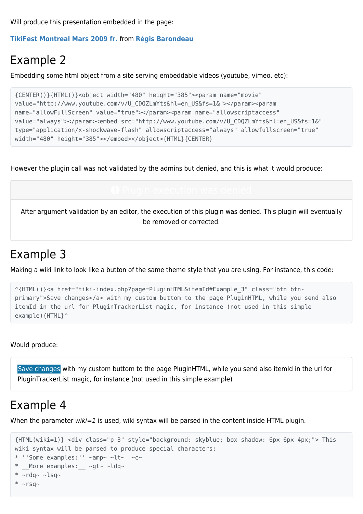Will produce this presentation embedded in the page:

**[TikiFest Montreal Mars 2009 fr.](https://www.slideshare.net/RegisBarondeau/tikifest-montreal-mars-2009-fr)** from **[Régis Barondeau](https://www.slideshare.net/RegisBarondeau)**

### Example 2

Embedding some html object from a site serving embeddable videos (youtube, vimeo, etc):

```
{CENTER()}{HTML()}<object width="480" height="385"><param name="movie"
value="http://www.youtube.com/v/U_CDQZLmYts&hl=en_US&fs=1&"></param><param
name="allowFullScreen" value="true"></param><param name="allowscriptaccess"
value="always"></param><embed src="http://www.youtube.com/v/U_CDQZLmYts&hl=en_US&fs=1&"
type="application/x-shockwave-flash" allowscriptaccess="always" allowfullscreen="true"
width="480" height="385"></embed></object>{HTML}{CENTER}
```
However the plugin call was not validated by the admins but denied, and this is what it would produce:

After argument validation by an editor, the execution of this plugin was denied. This plugin will eventually be removed or corrected.

### Example 3

Making a wiki link to look like a button of the same theme style that you are using. For instance, this code:

```
^{HTML()}<a href="tiki-index.php?page=PluginHTML&itemId#Example_3" class="btn btn-
primary">Save changes</a> with my custom buttom to the page PluginHTML, while you send also
itemId in the url for PluginTrackerList magic, for instance (not used in this simple
example){HTML}^
```
Would produce:

[Save changes](https://doc.tiki.org/tiki-index.php?page=PluginHTML&itemId#Example_3) with my custom buttom to the page PluginHTML, while you send also itemId in the url for PluginTrackerList magic, for instance (not used in this simple example)

### Example 4

When the parameter  $wiki=1$  is used, wiki syntax will be parsed in the content inside HTML plugin.

```
{HTML(wiki=1)} <div class="p-3" style="background: skyblue; box-shadow: 6px 6px 4px;"> This
wiki syntax will be parsed to produce special characters:
* ''Some examples:'' \simamp\sim \simlt\sim \simc\sim* More examples: ~\simgt~ ~ldq~
* ~rdq~ ~lsq~
* ~rsq~
```